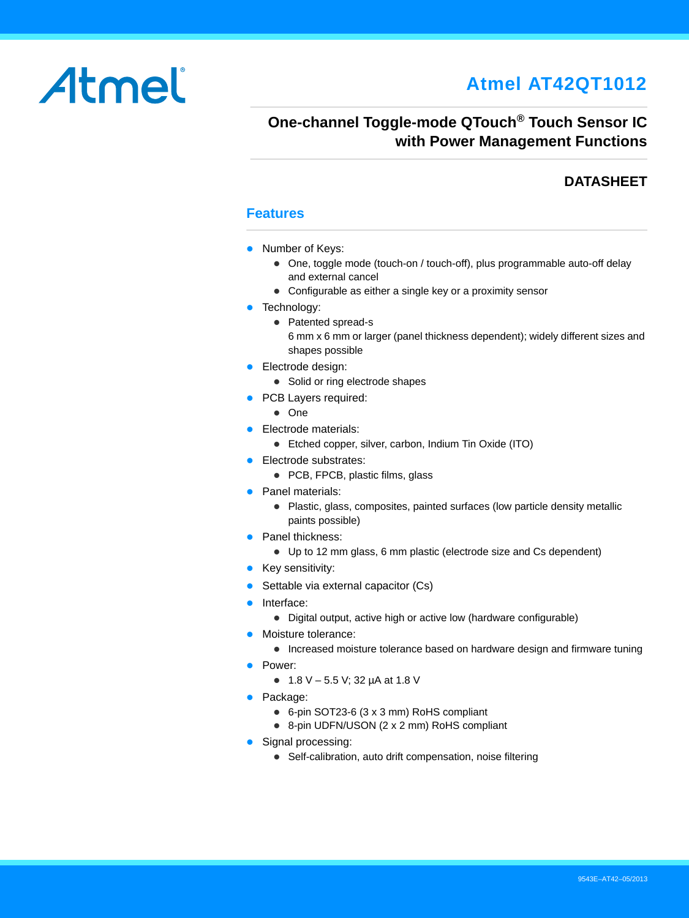# Atmel

# **Atmel AT42QT1012**

# **One-channel Toggle-mode QTouch® Touch Sensor IC with Power Management Functions**

### **DATASHEET**

#### **Features**

- Number of Keys:
	- One, toggle mode (touch-on / touch-off), plus programmable auto-off delay and external cancel
	- Configurable as either a single key or a proximity sensor
- **•** Technology:
	- Patented spread-s 6 mm x 6 mm or larger (panel thickness dependent); widely different sizes and shapes possible
- **Electrode design:** 
	- Solid or ring electrode shapes
- PCB Layers required:
	- One
- **Electrode materials:** 
	- Etched copper, silver, carbon, Indium Tin Oxide (ITO)
- **Electrode substrates:** 
	- PCB, FPCB, plastic films, glass
- Panel materials:
	- Plastic, glass, composites, painted surfaces (low particle density metallic paints possible)
- Panel thickness:
	- Up to 12 mm glass, 6 mm plastic (electrode size and Cs dependent)
- Key sensitivity:
- **Settable via external capacitor (Cs)**
- Interface:
	- Digital output, active high or active low (hardware configurable)
- Moisture tolerance:
	- Increased moisture tolerance based on hardware design and firmware tuning
- Power:
	- 1.8 V 5.5 V; 32 µA at 1.8 V
- Package:
	- 6-pin SOT23-6 (3 x 3 mm) RoHS compliant
	- 8-pin UDFN/USON (2 x 2 mm) RoHS compliant
- Signal processing:
	- Self-calibration, auto drift compensation, noise filtering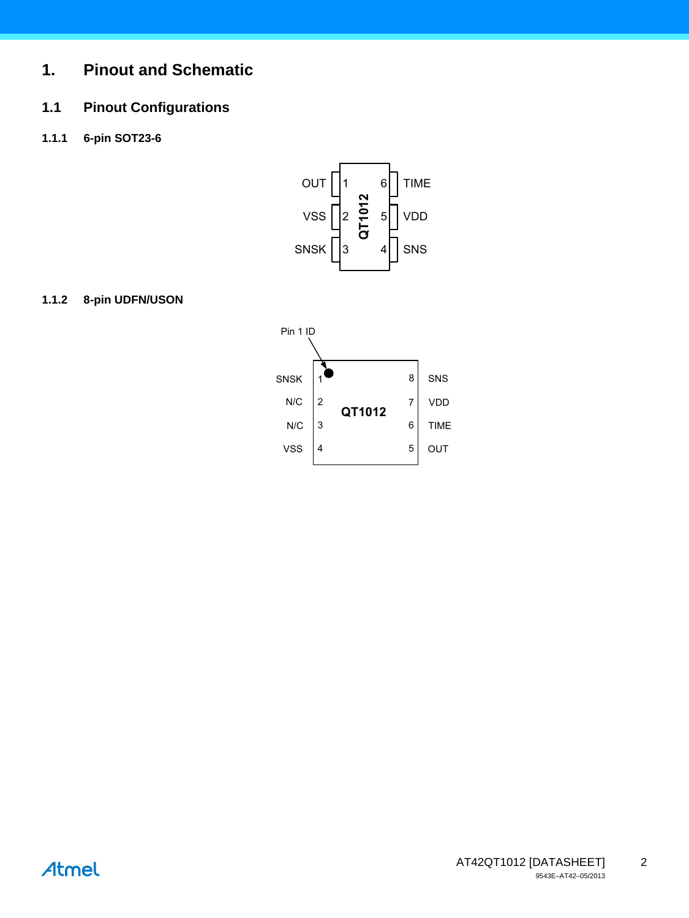# **1. Pinout and Schematic**

# **1.1 Pinout Configurations**

**1.1.1 6-pin SOT23-6**



#### **1.1.2 8-pin UDFN/USON**



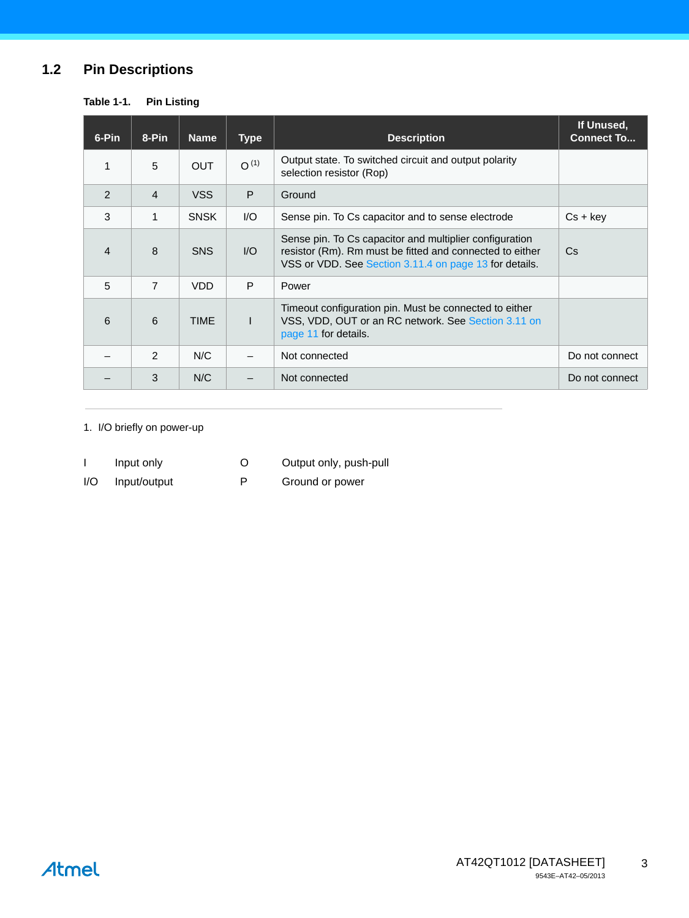# **1.2 Pin Descriptions**

| Table 1-1. |  |  | <b>Pin Listing</b> |
|------------|--|--|--------------------|
|------------|--|--|--------------------|

| 6-Pin          | 8-Pin          | <b>Name</b> | <b>Type</b>            | <b>Description</b>                                                                                                                                                            | If Unused,<br><b>Connect To</b> |
|----------------|----------------|-------------|------------------------|-------------------------------------------------------------------------------------------------------------------------------------------------------------------------------|---------------------------------|
| 1              | 5              | <b>OUT</b>  | $O^{(1)}$              | Output state. To switched circuit and output polarity<br>selection resistor (Rop)                                                                                             |                                 |
| 2              | $\overline{4}$ | <b>VSS</b>  | P                      | Ground                                                                                                                                                                        |                                 |
| 3              | $\mathbf{1}$   | <b>SNSK</b> | $\mathsf{U}\mathsf{O}$ | Sense pin. To Cs capacitor and to sense electrode                                                                                                                             | $Cs + key$                      |
| $\overline{4}$ | 8              | <b>SNS</b>  | $U$                    | Sense pin. To Cs capacitor and multiplier configuration<br>resistor (Rm). Rm must be fitted and connected to either<br>VSS or VDD. See Section 3.11.4 on page 13 for details. | Cs.                             |
| 5              | $\overline{7}$ | <b>VDD</b>  | P                      | Power                                                                                                                                                                         |                                 |
| 6              | 6              | <b>TIME</b> | $\mathbf{I}$           | Timeout configuration pin. Must be connected to either<br>VSS, VDD, OUT or an RC network. See Section 3.11 on<br>page 11 for details.                                         |                                 |
|                | $\mathcal{P}$  | N/C         |                        | Not connected                                                                                                                                                                 | Do not connect                  |
|                | 3              | N/C         |                        | Not connected                                                                                                                                                                 | Do not connect                  |

1. I/O briefly on power-up

|                         | Input only   | O | Output only, push-pull |
|-------------------------|--------------|---|------------------------|
| $\mathsf{I}/\mathsf{O}$ | Input/output | P | Ground or power        |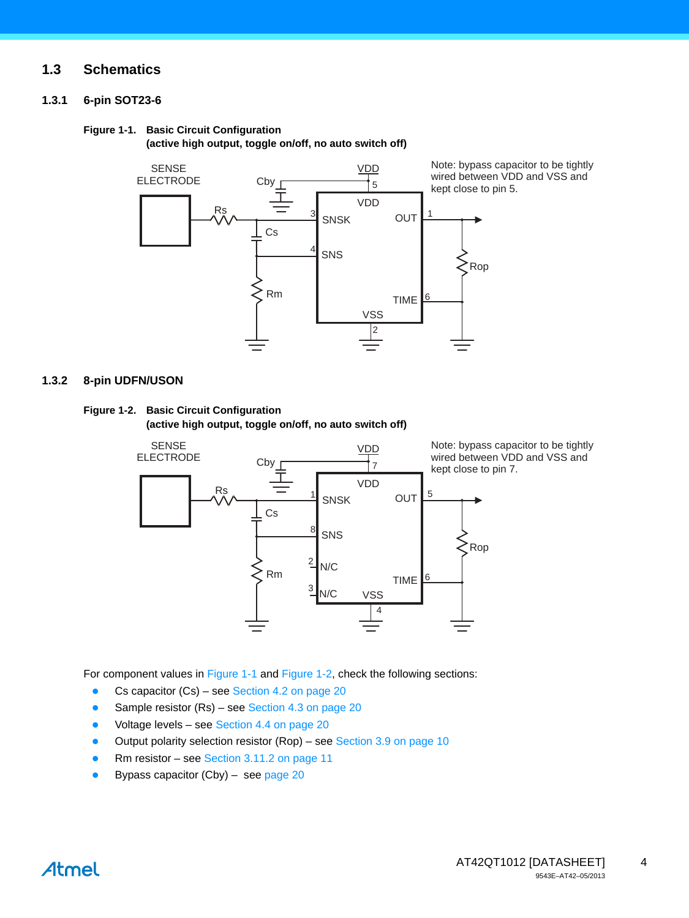#### **1.3 Schematics**

#### **1.3.1 6-pin SOT23-6**

#### <span id="page-3-0"></span>**Figure 1-1. Basic Circuit Configuration**

**(active high output, toggle on/off, no auto switch off)** 



#### **1.3.2 8-pin UDFN/USON**

#### <span id="page-3-1"></span>**Figure 1-2. Basic Circuit Configuration (active high output, toggle on/off, no auto switch off)**



Note: bypass capacitor to be tightly wired between VDD and VSS and kept close to pin 7.

For component values in [Figure 1-1](#page-3-0) and [Figure 1-2](#page-3-1), check the following sections:

- Cs capacitor (Cs) see [Section 4.2 on page 20](#page-19-1)
- Sample resistor (Rs) see [Section 4.3 on page 20](#page-19-2)
- Voltage levels see [Section 4.4 on page 20](#page-19-3)
- Output polarity selection resistor (Rop) see [Section 3.9 on page 10](#page-9-0)
- Rm resistor see [Section 3.11.2 on page 11](#page-10-1)
- Bypass capacitor (Cby) see [page 20](#page-19-0)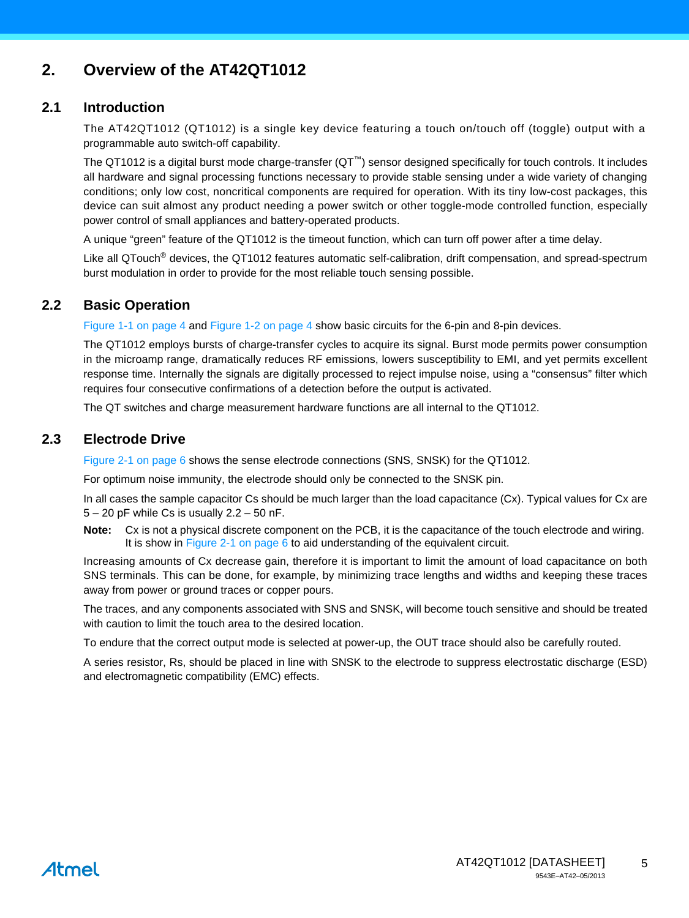# **2. Overview of the AT42QT1012**

#### **2.1 Introduction**

The AT42QT1012 (QT1012) is a single key device featuring a touch on/touch off (toggle) output with a programmable auto switch-off capability.

The QT1012 is a digital burst mode charge-transfer (QT™) sensor designed specifically for touch controls. It includes all hardware and signal processing functions necessary to provide stable sensing under a wide variety of changing conditions; only low cost, noncritical components are required for operation. With its tiny low-cost packages, this device can suit almost any product needing a power switch or other toggle-mode controlled function, especially power control of small appliances and battery-operated products.

A unique "green" feature of the QT1012 is the timeout function, which can turn off power after a time delay.

Like all QTouch<sup>®</sup> devices, the QT1012 features automatic self-calibration, drift compensation, and spread-spectrum burst modulation in order to provide for the most reliable touch sensing possible.

#### **2.2 Basic Operation**

[Figure 1-1 on page 4](#page-3-0) and [Figure 1-2 on page 4](#page-3-1) show basic circuits for the 6-pin and 8-pin devices.

The QT1012 employs bursts of charge-transfer cycles to acquire its signal. Burst mode permits power consumption in the microamp range, dramatically reduces RF emissions, lowers susceptibility to EMI, and yet permits excellent response time. Internally the signals are digitally processed to reject impulse noise, using a "consensus" filter which requires four consecutive confirmations of a detection before the output is activated.

The QT switches and charge measurement hardware functions are all internal to the QT1012.

#### **2.3 Electrode Drive**

[Figure 2-1 on page 6](#page-5-0) shows the sense electrode connections (SNS, SNSK) for the QT1012.

For optimum noise immunity, the electrode should only be connected to the SNSK pin.

In all cases the sample capacitor Cs should be much larger than the load capacitance (Cx). Typical values for Cx are  $5 - 20$  pF while Cs is usually  $2.2 - 50$  nF.

**Note:** Cx is not a physical discrete component on the PCB, it is the capacitance of the touch electrode and wiring. It is show in [Figure 2-1 on page 6](#page-5-0) to aid understanding of the equivalent circuit.

Increasing amounts of Cx decrease gain, therefore it is important to limit the amount of load capacitance on both SNS terminals. This can be done, for example, by minimizing trace lengths and widths and keeping these traces away from power or ground traces or copper pours.

The traces, and any components associated with SNS and SNSK, will become touch sensitive and should be treated with caution to limit the touch area to the desired location.

To endure that the correct output mode is selected at power-up, the OUT trace should also be carefully routed.

A series resistor, Rs, should be placed in line with SNSK to the electrode to suppress electrostatic discharge (ESD) and electromagnetic compatibility (EMC) effects.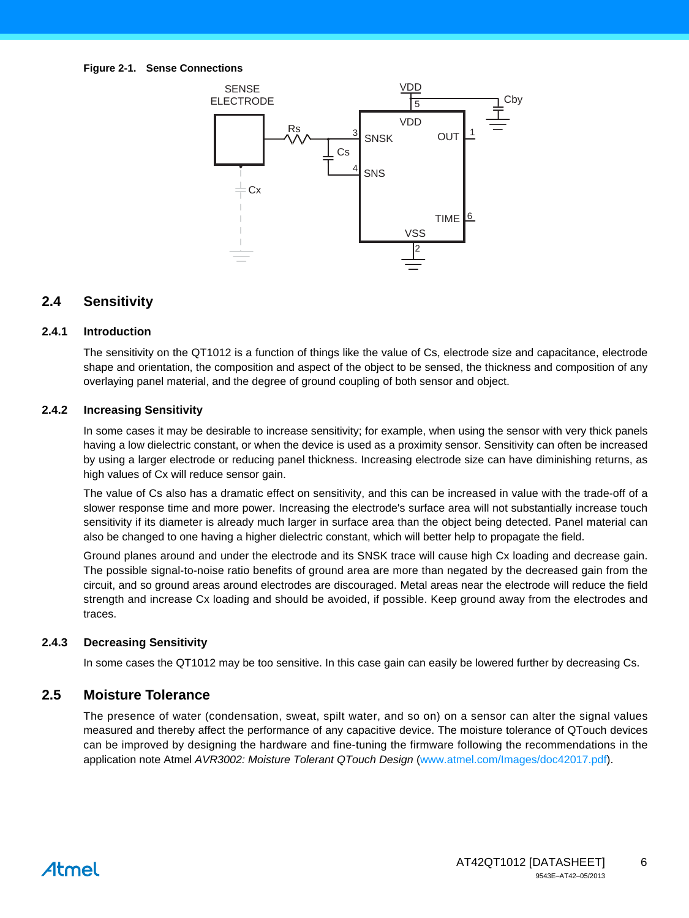<span id="page-5-0"></span>

#### **2.4 Sensitivity**

#### **2.4.1 Introduction**

The sensitivity on the QT1012 is a function of things like the value of Cs, electrode size and capacitance, electrode shape and orientation, the composition and aspect of the object to be sensed, the thickness and composition of any overlaying panel material, and the degree of ground coupling of both sensor and object.

#### **2.4.2 Increasing Sensitivity**

In some cases it may be desirable to increase sensitivity; for example, when using the sensor with very thick panels having a low dielectric constant, or when the device is used as a proximity sensor. Sensitivity can often be increased by using a larger electrode or reducing panel thickness. Increasing electrode size can have diminishing returns, as high values of Cx will reduce sensor gain.

The value of Cs also has a dramatic effect on sensitivity, and this can be increased in value with the trade-off of a slower response time and more power. Increasing the electrode's surface area will not substantially increase touch sensitivity if its diameter is already much larger in surface area than the object being detected. Panel material can also be changed to one having a higher dielectric constant, which will better help to propagate the field.

Ground planes around and under the electrode and its SNSK trace will cause high Cx loading and decrease gain. The possible signal-to-noise ratio benefits of ground area are more than negated by the decreased gain from the circuit, and so ground areas around electrodes are discouraged. Metal areas near the electrode will reduce the field strength and increase Cx loading and should be avoided, if possible. Keep ground away from the electrodes and traces.

#### **2.4.3 Decreasing Sensitivity**

In some cases the QT1012 may be too sensitive. In this case gain can easily be lowered further by decreasing Cs.

#### **2.5 Moisture Tolerance**

The presence of water (condensation, sweat, spilt water, and so on) on a sensor can alter the signal values measured and thereby affect the performance of any capacitive device. The moisture tolerance of QTouch devices can be improved by designing the hardware and fine-tuning the firmware following the recommendations in the application note Atmel *AVR3002: Moisture Tolerant QTouch Design* [\(](http//www.atmel.com/Images/doc42017.pdf)www.atmel.com/Images/doc42017.pdf).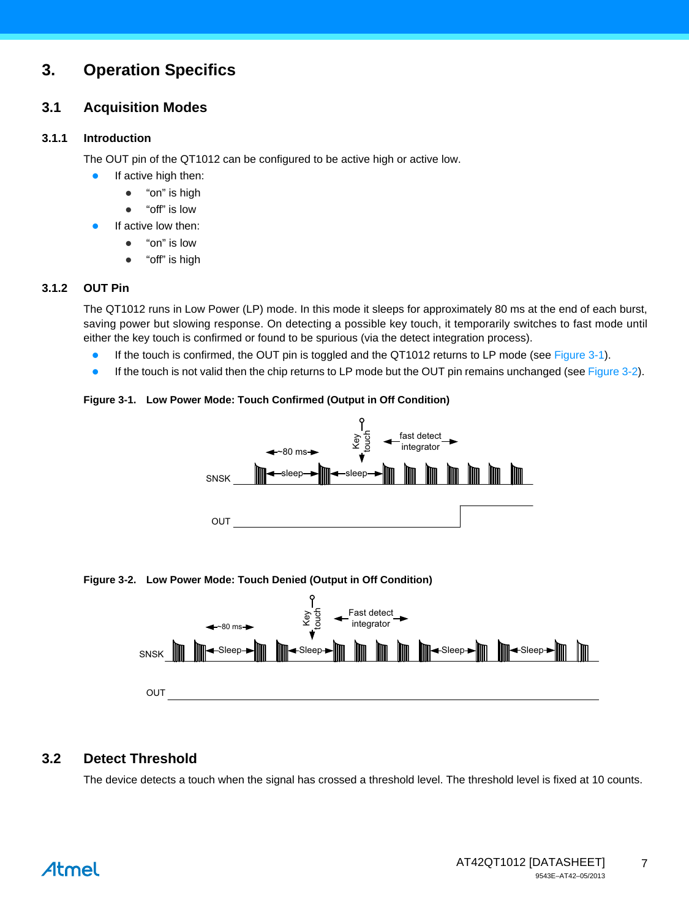# **3. Operation Specifics**

#### **3.1 Acquisition Modes**

#### **3.1.1 Introduction**

The OUT pin of the QT1012 can be configured to be active high or active low.

- **If active high then:** 
	- "on" is high
	- "off" is low
	- If active low then:
		- "on" is low
		- "off" is high

#### **3.1.2 OUT Pin**

The QT1012 runs in Low Power (LP) mode. In this mode it sleeps for approximately 80 ms at the end of each burst, saving power but slowing response. On detecting a possible key touch, it temporarily switches to fast mode until either the key touch is confirmed or found to be spurious (via the detect integration process).

- **If the touch is confirmed, the OUT pin is toggled and the QT1012 returns to LP mode (see [Figure 3-1](#page-6-1)).**
- **If the touch is not valid then the chip returns to LP mode but the OUT pin remains unchanged (see [Figure 3-2\)](#page-6-0).**

#### <span id="page-6-1"></span>**Figure 3-1. Low Power Mode: Touch Confirmed (Output in Off Condition)**



#### <span id="page-6-0"></span>**Figure 3-2. Low Power Mode: Touch Denied (Output in Off Condition)**



### **3.2 Detect Threshold**

The device detects a touch when the signal has crossed a threshold level. The threshold level is fixed at 10 counts.

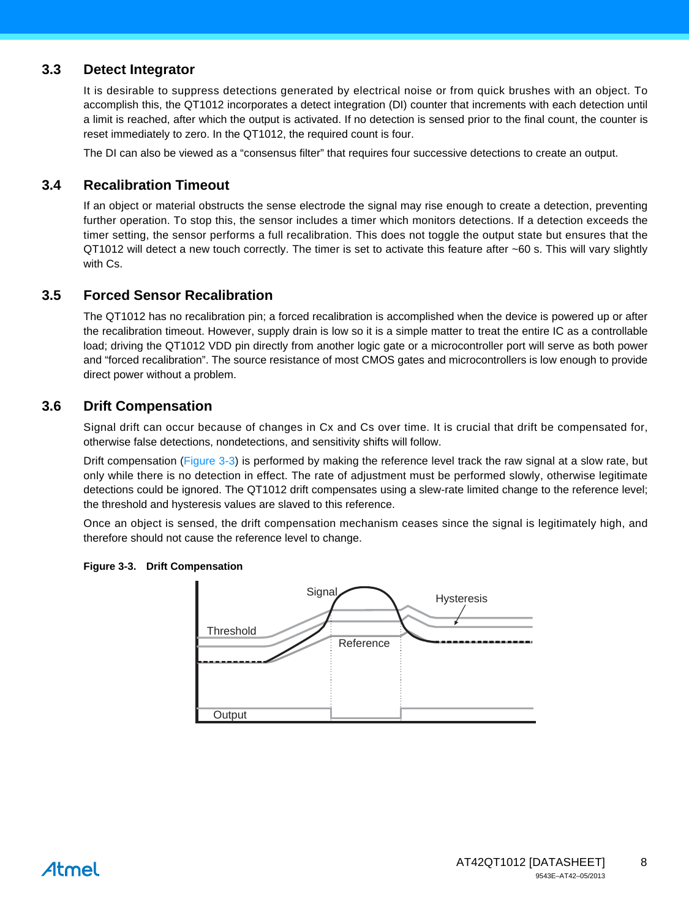#### **3.3 Detect Integrator**

It is desirable to suppress detections generated by electrical noise or from quick brushes with an object. To accomplish this, the QT1012 incorporates a detect integration (DI) counter that increments with each detection until a limit is reached, after which the output is activated. If no detection is sensed prior to the final count, the counter is reset immediately to zero. In the QT1012, the required count is four.

The DI can also be viewed as a "consensus filter" that requires four successive detections to create an output.

#### **3.4 Recalibration Timeout**

If an object or material obstructs the sense electrode the signal may rise enough to create a detection, preventing further operation. To stop this, the sensor includes a timer which monitors detections. If a detection exceeds the timer setting, the sensor performs a full recalibration. This does not toggle the output state but ensures that the QT1012 will detect a new touch correctly. The timer is set to activate this feature after ~60 s. This will vary slightly with Cs.

#### **3.5 Forced Sensor Recalibration**

The QT1012 has no recalibration pin; a forced recalibration is accomplished when the device is powered up or after the recalibration timeout. However, supply drain is low so it is a simple matter to treat the entire IC as a controllable load; driving the QT1012 VDD pin directly from another logic gate or a microcontroller port will serve as both power and "forced recalibration". The source resistance of most CMOS gates and microcontrollers is low enough to provide direct power without a problem.

#### **3.6 Drift Compensation**

Signal drift can occur because of changes in Cx and Cs over time. It is crucial that drift be compensated for, otherwise false detections, nondetections, and sensitivity shifts will follow.

Drift compensation ([Figure 3-3\)](#page-7-0) is performed by making the reference level track the raw signal at a slow rate, but only while there is no detection in effect. The rate of adjustment must be performed slowly, otherwise legitimate detections could be ignored. The QT1012 drift compensates using a slew-rate limited change to the reference level; the threshold and hysteresis values are slaved to this reference.

Once an object is sensed, the drift compensation mechanism ceases since the signal is legitimately high, and therefore should not cause the reference level to change.



#### <span id="page-7-0"></span>**Figure 3-3. Drift Compensation**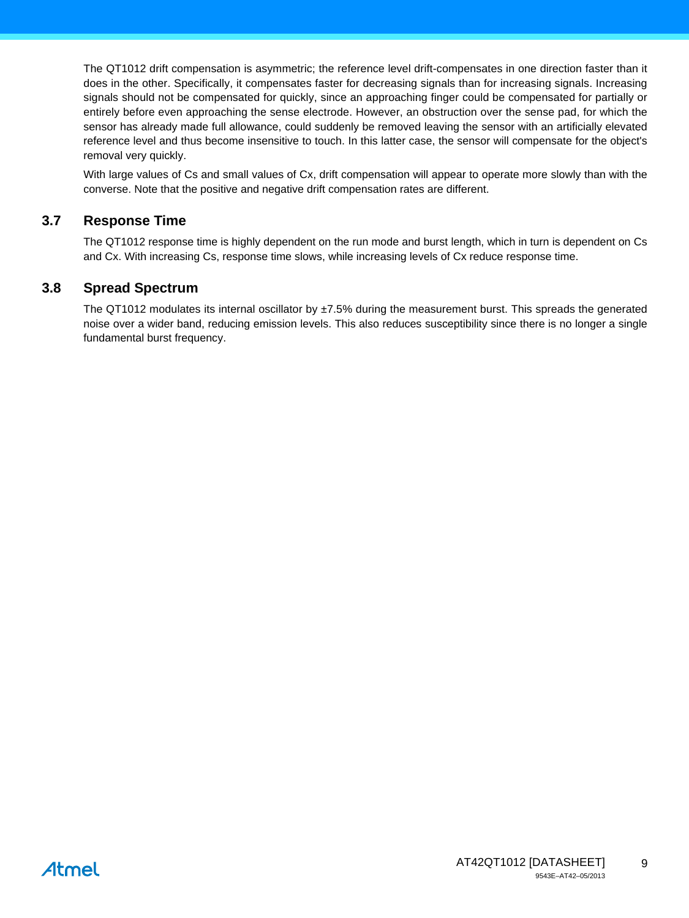The QT1012 drift compensation is asymmetric; the reference level drift-compensates in one direction faster than it does in the other. Specifically, it compensates faster for decreasing signals than for increasing signals. Increasing signals should not be compensated for quickly, since an approaching finger could be compensated for partially or entirely before even approaching the sense electrode. However, an obstruction over the sense pad, for which the sensor has already made full allowance, could suddenly be removed leaving the sensor with an artificially elevated reference level and thus become insensitive to touch. In this latter case, the sensor will compensate for the object's removal very quickly.

With large values of Cs and small values of Cx, drift compensation will appear to operate more slowly than with the converse. Note that the positive and negative drift compensation rates are different.

#### **3.7 Response Time**

The QT1012 response time is highly dependent on the run mode and burst length, which in turn is dependent on Cs and Cx. With increasing Cs, response time slows, while increasing levels of Cx reduce response time.

#### **3.8 Spread Spectrum**

The QT1012 modulates its internal oscillator by  $\pm$ 7.5% during the measurement burst. This spreads the generated noise over a wider band, reducing emission levels. This also reduces susceptibility since there is no longer a single fundamental burst frequency.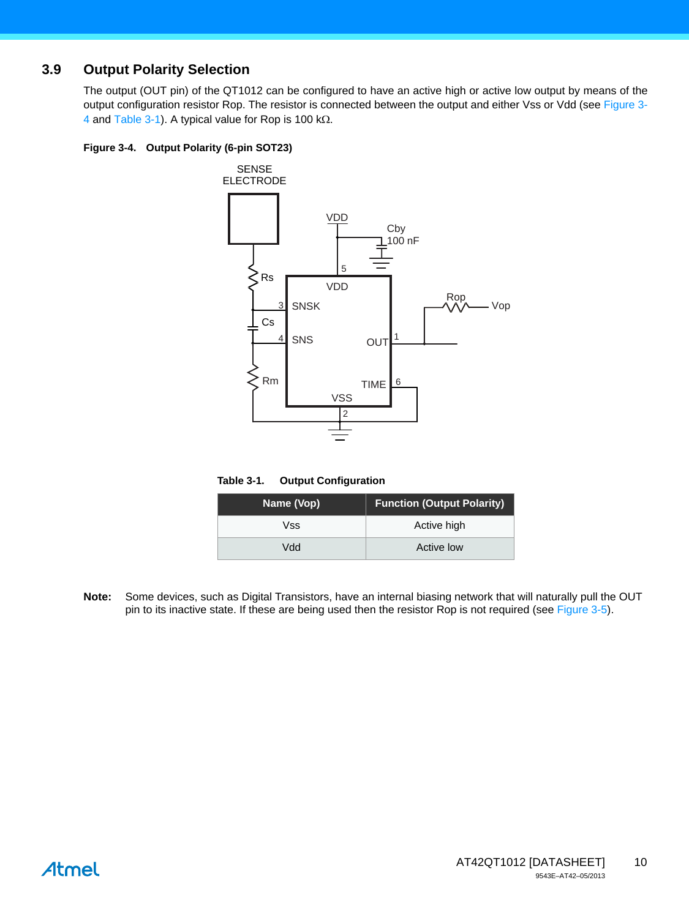### <span id="page-9-0"></span>**3.9 Output Polarity Selection**

The output (OUT pin) of the QT1012 can be configured to have an active high or active low output by means of the output configuration resistor Rop. The resistor is connected between the output and either Vss or Vdd (see [Figure 3-](#page-9-1) [4](#page-9-1) and [Table 3-1\)](#page-9-2). A typical value for Rop is 100 k $\Omega$ .

#### <span id="page-9-1"></span>**Figure 3-4. Output Polarity (6-pin SOT23)**



#### <span id="page-9-2"></span>**Table 3-1. Output Configuration**

| Name (Vop) | <b>Function (Output Polarity)</b> |  |  |
|------------|-----------------------------------|--|--|
| Vss        | Active high                       |  |  |
| hbV        | Active low                        |  |  |

**Note:** Some devices, such as Digital Transistors, have an internal biasing network that will naturally pull the OUT pin to its inactive state. If these are being used then the resistor Rop is not required (see [Figure 3-5\)](#page-10-2).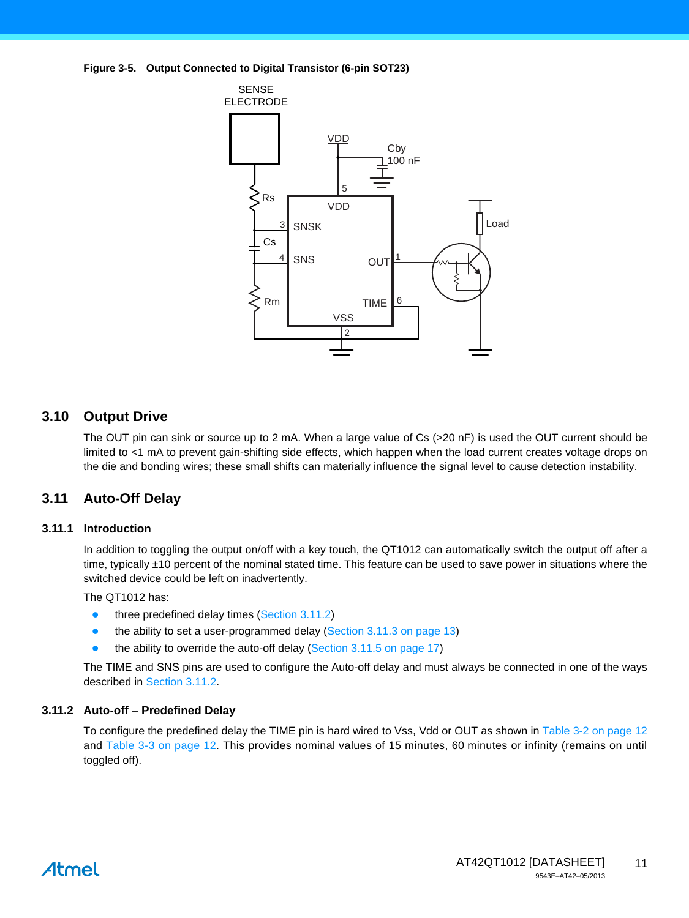<span id="page-10-2"></span>**Figure 3-5. Output Connected to Digital Transistor (6-pin SOT23)** 



#### **3.10 Output Drive**

The OUT pin can sink or source up to 2 mA. When a large value of Cs (>20 nF) is used the OUT current should be limited to <1 mA to prevent gain-shifting side effects, which happen when the load current creates voltage drops on the die and bonding wires; these small shifts can materially influence the signal level to cause detection instability.

#### <span id="page-10-0"></span>**3.11 Auto-Off Delay**

#### **3.11.1 Introduction**

In addition to toggling the output on/off with a key touch, the QT1012 can automatically switch the output off after a time, typically ±10 percent of the nominal stated time. This feature can be used to save power in situations where the switched device could be left on inadvertently.

The QT1012 has:

- three predefined delay times ([Section 3.11.2](#page-10-1))
- the ability to set a user-programmed delay [\(Section 3.11.3 on page 13\)](#page-12-1)
- the ability to override the auto-off delay [\(Section 3.11.5 on page 17](#page-16-0))

The TIME and SNS pins are used to configure the Auto-off delay and must always be connected in one of the ways described in [Section 3.11.2.](#page-10-1)

#### <span id="page-10-1"></span>**3.11.2 Auto-off – Predefined Delay**

To configure the predefined delay the TIME pin is hard wired to Vss, Vdd or OUT as shown in [Table 3-2 on page 12](#page-11-0) and [Table 3-3 on page 12](#page-11-1). This provides nominal values of 15 minutes, 60 minutes or infinity (remains on until toggled off).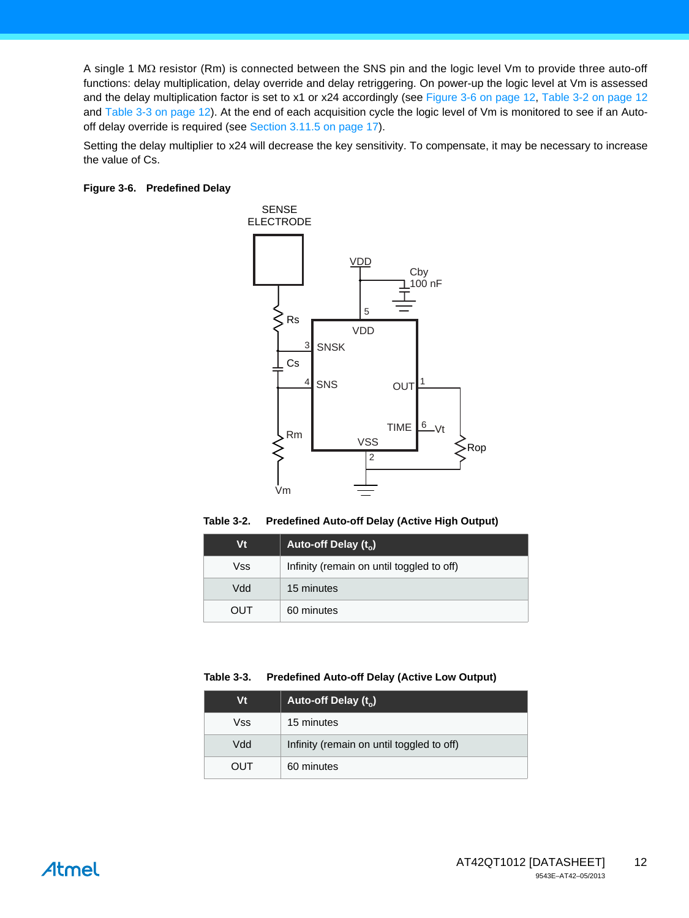A single 1  $M\Omega$  resistor (Rm) is connected between the SNS pin and the logic level Vm to provide three auto-off functions: delay multiplication, delay override and delay retriggering. On power-up the logic level at Vm is assessed and the delay multiplication factor is set to x1 or x24 accordingly (see [Figure 3-6 on page 12,](#page-11-2) [Table 3-2 on page 12](#page-11-0) and [Table 3-3 on page 12\)](#page-11-1). At the end of each acquisition cycle the logic level of Vm is monitored to see if an Autooff delay override is required (see [Section 3.11.5 on page 17](#page-16-0)).

Setting the delay multiplier to x24 will decrease the key sensitivity. To compensate, it may be necessary to increase the value of Cs.

#### <span id="page-11-2"></span>**Figure 3-6. Predefined Delay**



<span id="page-11-0"></span>**Table 3-2. Predefined Auto-off Delay (Active High Output)**

| Vt  | Auto-off Delay $(t_0)$                    |
|-----|-------------------------------------------|
| Vss | Infinity (remain on until toggled to off) |
| Vdd | 15 minutes                                |
| OUT | 60 minutes                                |

#### <span id="page-11-1"></span>**Table 3-3. Predefined Auto-off Delay (Active Low Output)**

| Vt  | Auto-off Delay $(t_0)$                    |
|-----|-------------------------------------------|
| Vss | 15 minutes                                |
| Vdd | Infinity (remain on until toggled to off) |
| OUT | 60 minutes                                |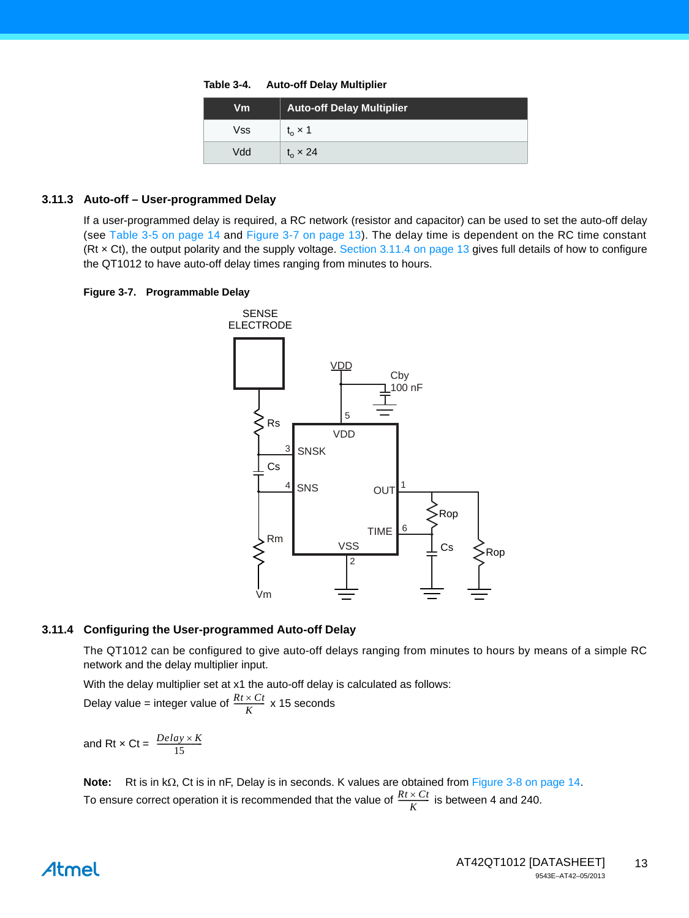**Table 3-4. Auto-off Delay Multiplier**

| Vm  | <b>Auto-off Delay Multiplier</b> |
|-----|----------------------------------|
| Vss | $t_{o}$ $\times$ 1               |
| Vdd | $t_{o} \times 24$                |

#### <span id="page-12-1"></span>**3.11.3 Auto-off – User-programmed Delay**

If a user-programmed delay is required, a RC network (resistor and capacitor) can be used to set the auto-off delay (see [Table 3-5 on page 14](#page-13-1) and [Figure 3-7 on page 13](#page-12-2)). The delay time is dependent on the RC time constant (Rt × Ct), the output polarity and the supply voltage. [Section 3.11.4 on page 13](#page-12-0) gives full details of how to configure the QT1012 to have auto-off delay times ranging from minutes to hours.

#### <span id="page-12-2"></span>**Figure 3-7. Programmable Delay**



#### <span id="page-12-0"></span>**3.11.4 Configuring the User-programmed Auto-off Delay**

The QT1012 can be configured to give auto-off delays ranging from minutes to hours by means of a simple RC network and the delay multiplier input.

With the delay multiplier set at x1 the auto-off delay is calculated as follows:

Delay value = integer value of  $\frac{Rt \times Ct}{K}$  x 15 seconds

and Rt  $\times$  Ct =  $\frac{Delay \times K}{15}$ 

**Note:** Rt is in kΩ, Ct is in nF, Delay is in seconds. K values are obtained from [Figure 3-8 on page 14](#page-13-0). To ensure correct operation it is recommended that the value of  $\frac{Rt \times Ct}{K}$  is between 4 and 240.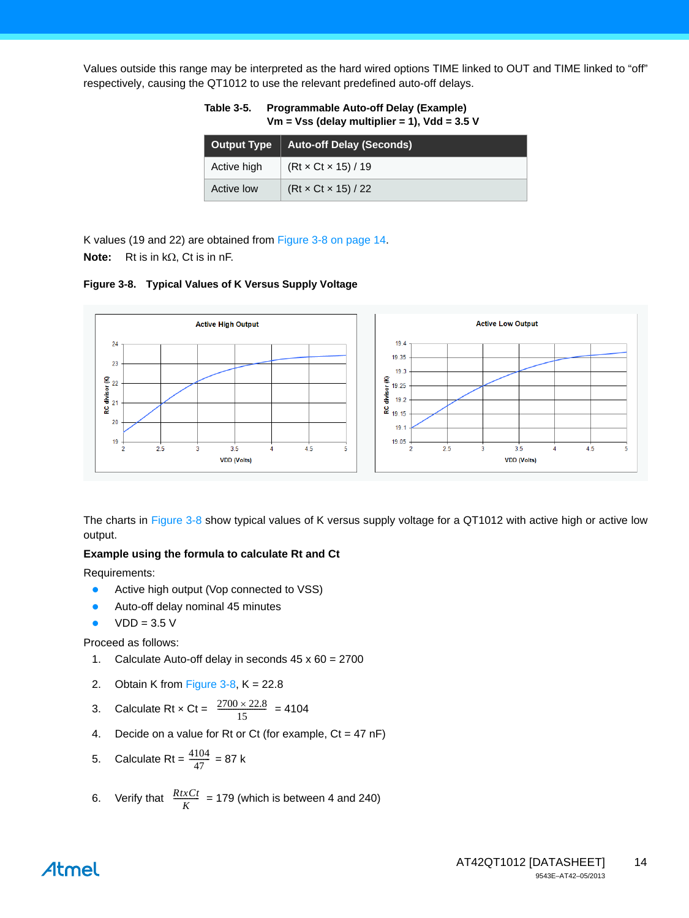Values outside this range may be interpreted as the hard wired options TIME linked to OUT and TIME linked to "off" respectively, causing the QT1012 to use the relevant predefined auto-off delays.

| <b>Output Type</b> | <b>Auto-off Delay (Seconds)</b> |
|--------------------|---------------------------------|
| Active high        | $(Rt \times Ct \times 15)/19$   |
| Active low         | $(Rt \times Ct \times 15)/22$   |

<span id="page-13-1"></span>**Table 3-5. Programmable Auto-off Delay (Example) Vm = Vss (delay multiplier = 1), Vdd = 3.5 V**

K values (19 and 22) are obtained from [Figure 3-8 on page 14.](#page-13-0) **Note:** Rt is in  $k\Omega$ , Ct is in nF.

<span id="page-13-0"></span>**Figure 3-8. Typical Values of K Versus Supply Voltage**



The charts in [Figure 3-8](#page-13-0) show typical values of K versus supply voltage for a QT1012 with active high or active low output.

#### **Example using the formula to calculate Rt and Ct**

Requirements:

- Active high output (Vop connected to VSS)
- Auto-off delay nominal 45 minutes
- $VDD = 3.5 V$

Proceed as follows:

- 1. Calculate Auto-off delay in seconds 45 x 60 = 2700
- 2. Obtain K from Figure  $3-8$ , K = 22.8
- 3. Calculate Rt  $\times$  Ct =  $\frac{2700 \times 22.8}{15}$  = 4104
- 4. Decide on a value for Rt or Ct (for example,  $Ct = 47$  nF)
- 5. Calculate Rt =  $\frac{4104}{47}$  = 87 k  $\frac{4104}{47}$

6. Verify that 
$$
\frac{RtxCt}{K}
$$
 = 179 (which is between 4 and 240)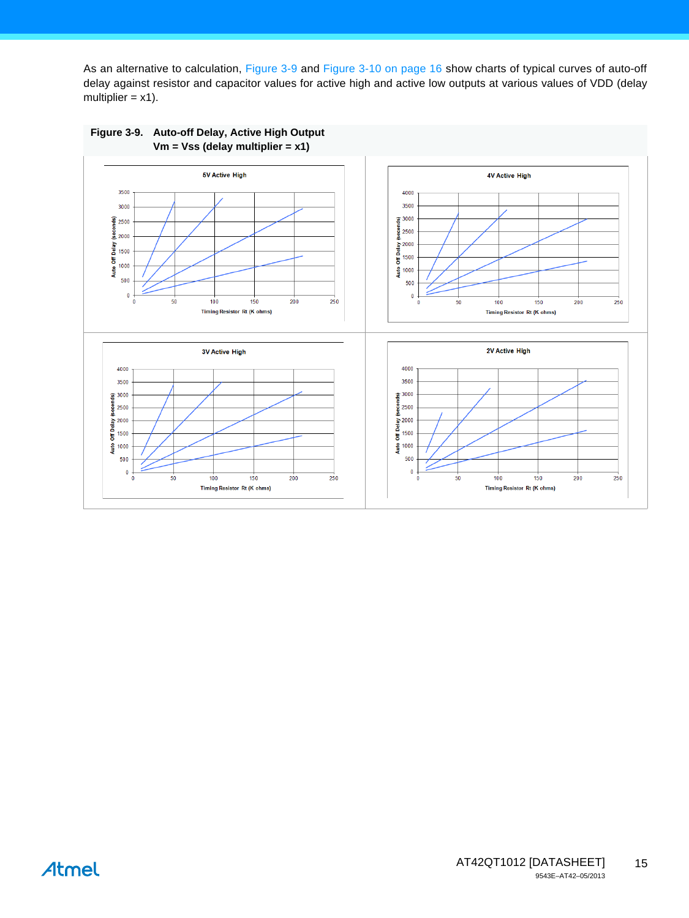As an alternative to calculation, [Figure 3-9](#page-14-0) and [Figure 3-10 on page 16](#page-15-0) show charts of typical curves of auto-off delay against resistor and capacitor values for active high and active low outputs at various values of VDD (delay multiplier  $= x1$ ).



<span id="page-14-0"></span>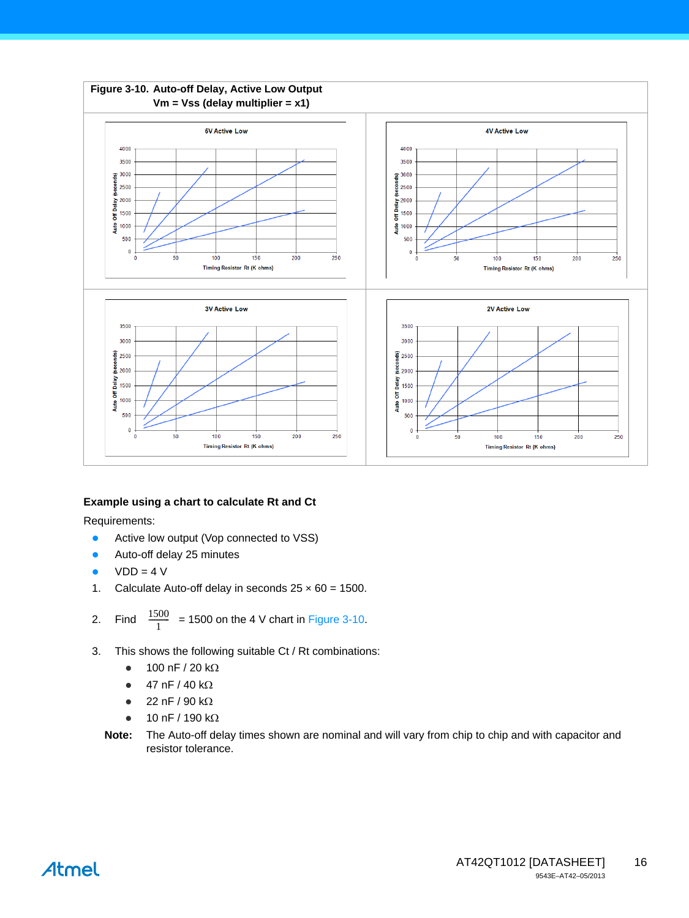<span id="page-15-0"></span>

#### **Example using a chart to calculate Rt and Ct**

Requirements:

- **•** Active low output (Vop connected to VSS)
- Auto-off delay 25 minutes
- $VDD = 4 V$

- 1. Calculate Auto-off delay in seconds  $25 \times 60 = 1500$ .
- 2. Find  $\frac{1500}{1}$  = 1500 on the 4 V chart in [Figure 3-10](#page-15-0).
- 3. This shows the following suitable Ct / Rt combinations:
	- $\bullet$  100 nF / 20 kΩ
	- $\bullet$  47 nF / 40 kΩ
	- $\bullet$  22 nF / 90 kΩ
	- $\bullet$  10 nF / 190 k $\Omega$
	- **Note:** The Auto-off delay times shown are nominal and will vary from chip to chip and with capacitor and resistor tolerance.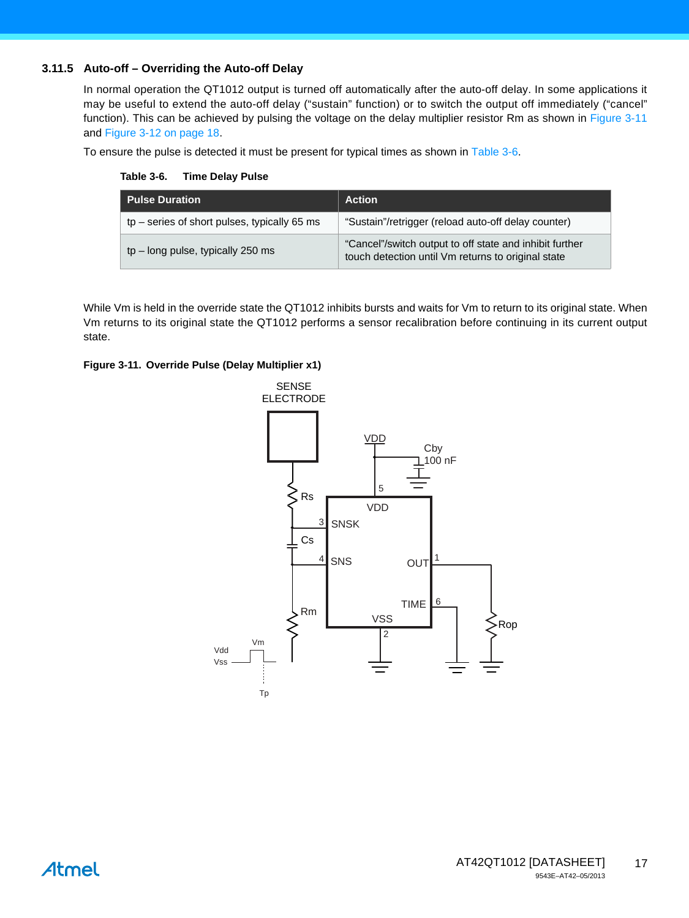#### <span id="page-16-0"></span>**3.11.5 Auto-off – Overriding the Auto-off Delay**

In normal operation the QT1012 output is turned off automatically after the auto-off delay. In some applications it may be useful to extend the auto-off delay ("sustain" function) or to switch the output off immediately ("cancel" function). This can be achieved by pulsing the voltage on the delay multiplier resistor Rm as shown in [Figure 3-11](#page-16-1) and [Figure 3-12 on page 18](#page-17-0).

To ensure the pulse is detected it must be present for typical times as shown in [Table 3-6.](#page-16-2)

<span id="page-16-2"></span>**Table 3-6. Time Delay Pulse**

| <b>Pulse Duration</b>                          | <b>Action</b>                                                                                                 |  |  |
|------------------------------------------------|---------------------------------------------------------------------------------------------------------------|--|--|
| $tp$ – series of short pulses, typically 65 ms | "Sustain"/retrigger (reload auto-off delay counter)                                                           |  |  |
| $tp$ – long pulse, typically 250 ms            | "Cancel"/switch output to off state and inhibit further<br>touch detection until Vm returns to original state |  |  |

While Vm is held in the override state the QT1012 inhibits bursts and waits for Vm to return to its original state. When Vm returns to its original state the QT1012 performs a sensor recalibration before continuing in its current output state.

#### <span id="page-16-1"></span>**Figure 3-11. Override Pulse (Delay Multiplier x1)**



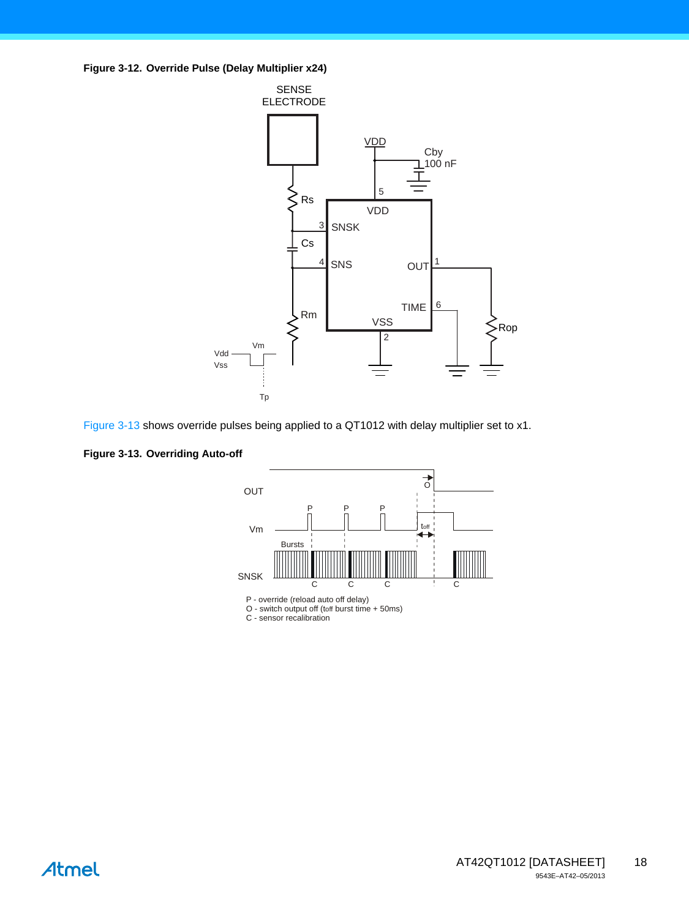<span id="page-17-0"></span>**Figure 3-12. Override Pulse (Delay Multiplier x24)** 





<span id="page-17-1"></span>**Figure 3-13. Overriding Auto-off** 



P - override (reload auto off delay)

O - switch output off (toff burst time + 50ms)<br>C - sensor recalibration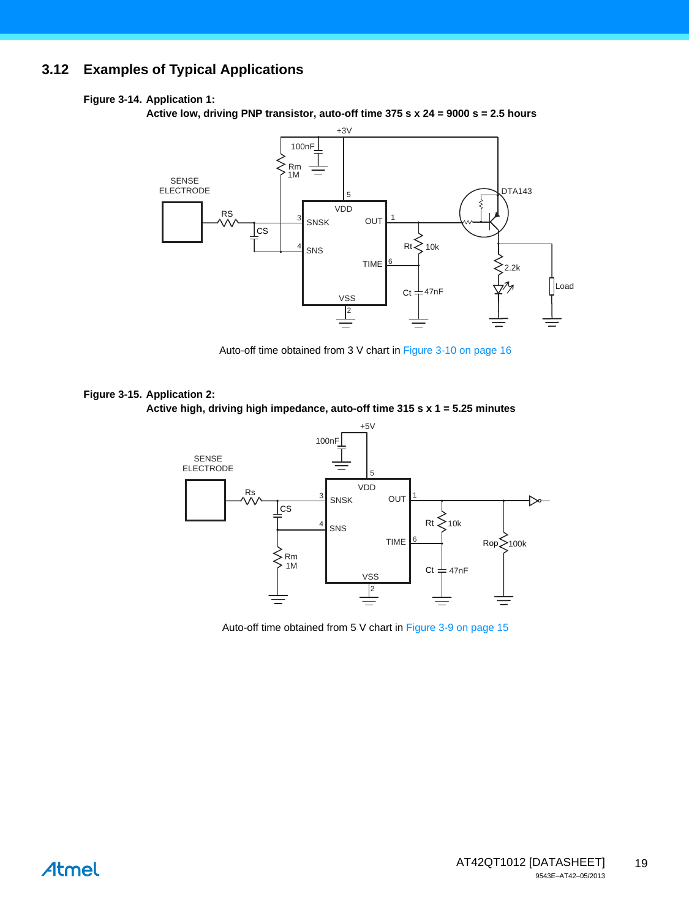# **3.12 Examples of Typical Applications**

#### **Figure 3-14. Application 1:**

**Active low, driving PNP transistor, auto-off time 375 s x 24 = 9000 s = 2.5 hours** 



Auto-off time obtained from 3 V chart in [Figure 3-10 on page 16](#page-15-0)

# **Figure 3-15. Application 2:**

**Active high, driving high impedance, auto-off time 315 s x 1 = 5.25 minutes** 



Auto-off time obtained from 5 V chart in [Figure 3-9 on page 15](#page-14-0)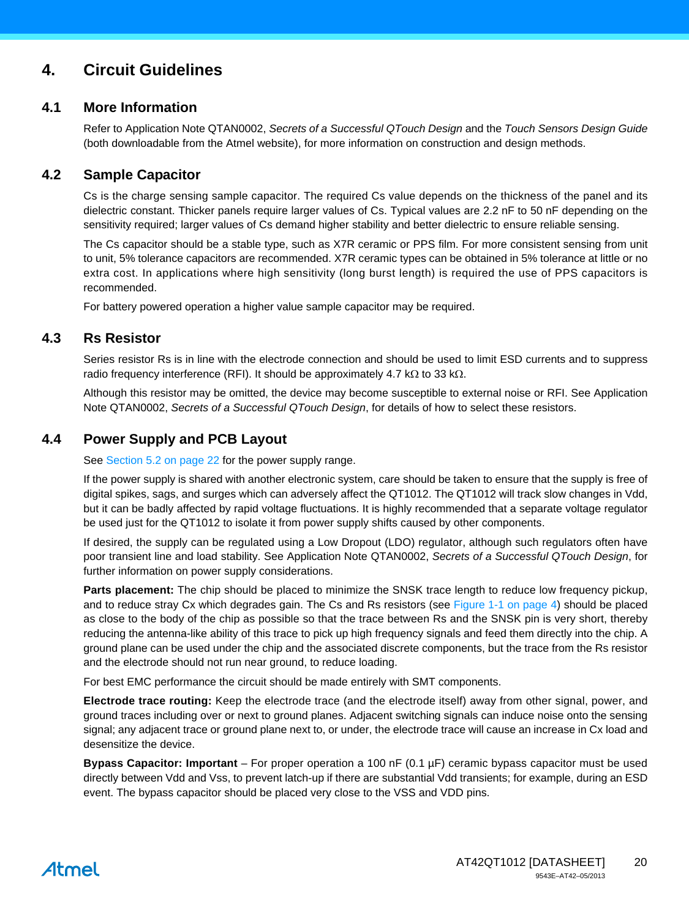# **4. Circuit Guidelines**

#### **4.1 More Information**

Refer to Application Note QTAN0002, *Secrets of a Successful QTouch Design* and the *Touch Sensors Design Guide* (both downloadable from the Atmel website), for more information on construction and design methods.

#### <span id="page-19-1"></span>**4.2 Sample Capacitor**

Cs is the charge sensing sample capacitor. The required Cs value depends on the thickness of the panel and its dielectric constant. Thicker panels require larger values of Cs. Typical values are 2.2 nF to 50 nF depending on the sensitivity required; larger values of Cs demand higher stability and better dielectric to ensure reliable sensing.

The Cs capacitor should be a stable type, such as X7R ceramic or PPS film. For more consistent sensing from unit to unit, 5% tolerance capacitors are recommended. X7R ceramic types can be obtained in 5% tolerance at little or no extra cost. In applications where high sensitivity (long burst length) is required the use of PPS capacitors is recommended.

For battery powered operation a higher value sample capacitor may be required.

#### <span id="page-19-2"></span>**4.3 Rs Resistor**

Series resistor Rs is in line with the electrode connection and should be used to limit ESD currents and to suppress radio frequency interference (RFI). It should be approximately 4.7 k $\Omega$  to 33 k $\Omega$ .

Although this resistor may be omitted, the device may become susceptible to external noise or RFI. See Application Note QTAN0002, *Secrets of a Successful QTouch Design*, for details of how to select these resistors.

### <span id="page-19-3"></span>**4.4 Power Supply and PCB Layout**

See [Section 5.2 on page 22](#page-21-0) for the power supply range.

If the power supply is shared with another electronic system, care should be taken to ensure that the supply is free of digital spikes, sags, and surges which can adversely affect the QT1012. The QT1012 will track slow changes in Vdd, but it can be badly affected by rapid voltage fluctuations. It is highly recommended that a separate voltage regulator be used just for the QT1012 to isolate it from power supply shifts caused by other components.

If desired, the supply can be regulated using a Low Dropout (LDO) regulator, although such regulators often have poor transient line and load stability. See Application Note QTAN0002, *Secrets of a Successful QTouch Design*, for further information on power supply considerations.

**Parts placement:** The chip should be placed to minimize the SNSK trace length to reduce low frequency pickup, and to reduce stray Cx which degrades gain. The Cs and Rs resistors (see [Figure 1-1 on page 4](#page-3-0)) should be placed as close to the body of the chip as possible so that the trace between Rs and the SNSK pin is very short, thereby reducing the antenna-like ability of this trace to pick up high frequency signals and feed them directly into the chip. A ground plane can be used under the chip and the associated discrete components, but the trace from the Rs resistor and the electrode should not run near ground, to reduce loading.

For best EMC performance the circuit should be made entirely with SMT components.

**Electrode trace routing:** Keep the electrode trace (and the electrode itself) away from other signal, power, and ground traces including over or next to ground planes. Adjacent switching signals can induce noise onto the sensing signal; any adjacent trace or ground plane next to, or under, the electrode trace will cause an increase in Cx load and desensitize the device.

<span id="page-19-0"></span>**Bypass Capacitor: Important** – For proper operation a 100 nF (0.1 µF) ceramic bypass capacitor must be used directly between Vdd and Vss, to prevent latch-up if there are substantial Vdd transients; for example, during an ESD event. The bypass capacitor should be placed very close to the VSS and VDD pins.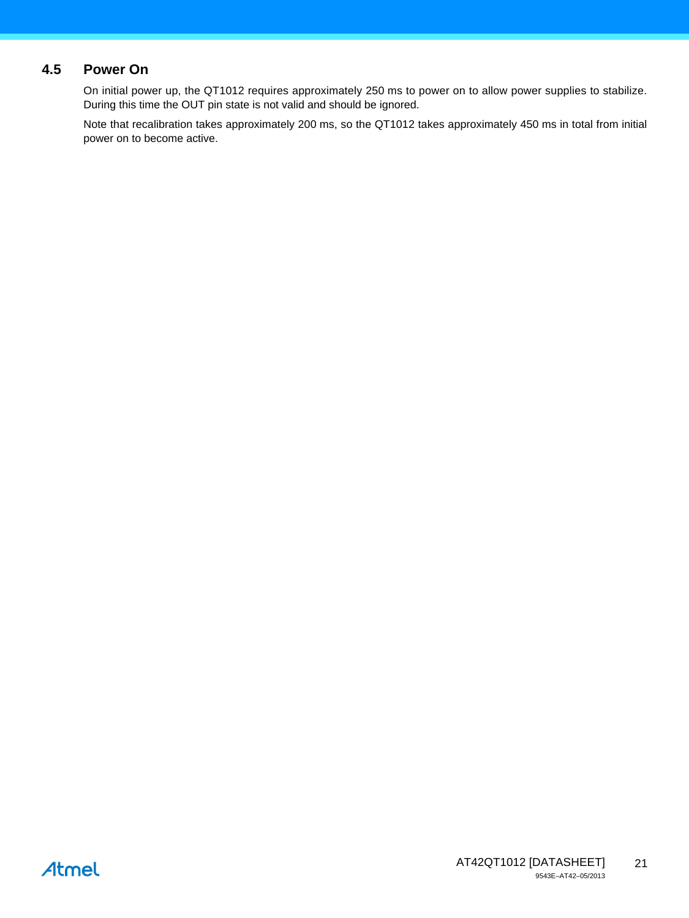### **4.5 Power On**

On initial power up, the QT1012 requires approximately 250 ms to power on to allow power supplies to stabilize. During this time the OUT pin state is not valid and should be ignored.

Note that recalibration takes approximately 200 ms, so the QT1012 takes approximately 450 ms in total from initial power on to become active.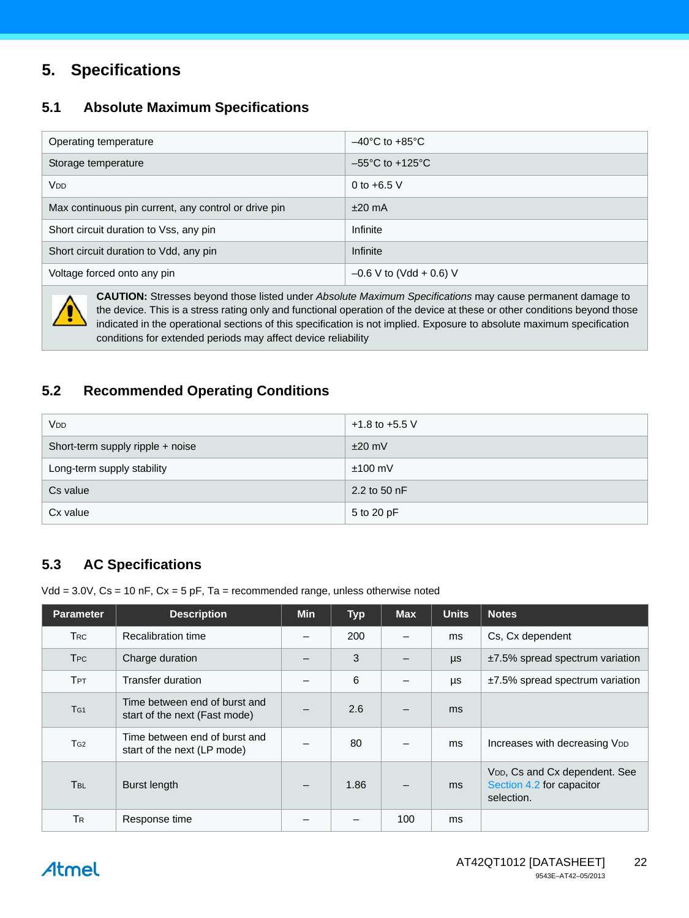# **5. Specifications**

### **5.1 Absolute Maximum Specifications**

| Operating temperature                                | $-40^{\circ}$ C to $+85^{\circ}$ C  |
|------------------------------------------------------|-------------------------------------|
| Storage temperature                                  | $-55^{\circ}$ C to $+125^{\circ}$ C |
| Vdd                                                  | 0 to $+6.5$ V                       |
| Max continuous pin current, any control or drive pin | $±20$ mA                            |
| Short circuit duration to Vss, any pin               | Infinite                            |
| Short circuit duration to Vdd, any pin               | Infinite                            |
| Voltage forced onto any pin                          | $-0.6$ V to (Vdd + 0.6) V           |



**CAUTION:** Stresses beyond those listed under *Absolute Maximum Specifications* may cause permanent damage to the device. This is a stress rating only and functional operation of the device at these or other conditions beyond those indicated in the operational sections of this specification is not implied. Exposure to absolute maximum specification conditions for extended periods may affect device reliability

# <span id="page-21-0"></span>**5.2 Recommended Operating Conditions**

| <b>V<sub>DD</sub></b>            | $+1.8$ to $+5.5$ V |
|----------------------------------|--------------------|
| Short-term supply ripple + noise | $±20$ mV           |
| Long-term supply stability       | $±100$ mV          |
| Cs value                         | 2.2 to 50 nF       |
| Cx value                         | 5 to 20 pF         |

# **5.3 AC Specifications**

Vdd =  $3.0V$ , Cs = 10 nF, Cx =  $5$  pF, Ta = recommended range, unless otherwise noted

| <b>Parameter</b>      | <b>Description</b>                                             | <b>Min</b> | <b>Typ</b> | <b>Max</b> | <b>Units</b> | <b>Notes</b>                                                                          |
|-----------------------|----------------------------------------------------------------|------------|------------|------------|--------------|---------------------------------------------------------------------------------------|
| <b>TRC</b>            | Recalibration time                                             |            | 200        |            | ms           | Cs, Cx dependent                                                                      |
| <b>T<sub>PC</sub></b> | Charge duration                                                |            | 3          |            | $\mu s$      | $±7.5\%$ spread spectrum variation                                                    |
| <b>TPT</b>            | Transfer duration                                              |            | 6          | —          | μs           | $±7.5\%$ spread spectrum variation                                                    |
| T <sub>G1</sub>       | Time between end of burst and<br>start of the next (Fast mode) |            | 2.6        |            | ms           |                                                                                       |
| T <sub>G2</sub>       | Time between end of burst and<br>start of the next (LP mode)   |            | 80         |            | ms           | Increases with decreasing VDD                                                         |
| T <sub>BL</sub>       | Burst length                                                   |            | 1.86       |            | ms           | V <sub>DD</sub> , Cs and Cx dependent. See<br>Section 4.2 for capacitor<br>selection. |
| <b>TR</b>             | Response time                                                  |            |            | 100        | ms           |                                                                                       |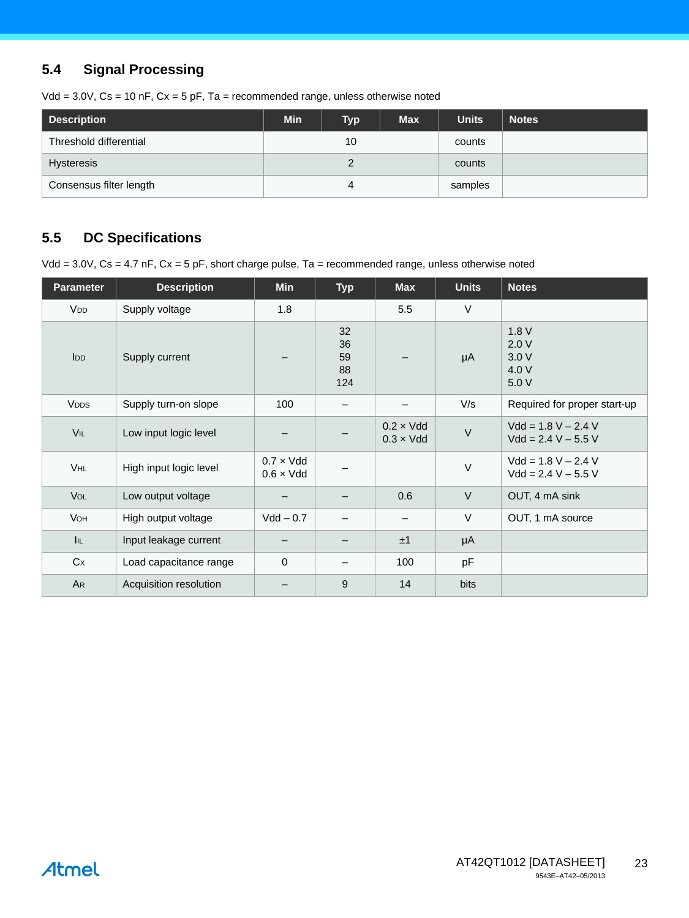# **5.4 Signal Processing**

|  |  |  | Vdd = $3.0V$ , Cs = 10 nF, Cx = 5 pF, Ta = recommended range, unless otherwise noted |
|--|--|--|--------------------------------------------------------------------------------------|
|--|--|--|--------------------------------------------------------------------------------------|

| <b>Description</b>      | <b>Min</b> | <b>Typ</b> | <b>Max</b> | <b>Units</b> | <b>Notes</b> |
|-------------------------|------------|------------|------------|--------------|--------------|
| Threshold differential  |            | 10         |            | counts       |              |
| <b>Hysteresis</b>       |            |            |            | counts       |              |
| Consensus filter length |            |            |            | samples      |              |

# **5.5 DC Specifications**

Vdd = 3.0V, Cs = 4.7 nF, Cx = 5 pF, short charge pulse, Ta = recommended range, unless otherwise noted

| <b>Parameter</b>      | <b>Description</b>     | Min                                    | <b>Typ</b>                  | <b>Max</b>                             | <b>Units</b> | <b>Notes</b>                                   |
|-----------------------|------------------------|----------------------------------------|-----------------------------|----------------------------------------|--------------|------------------------------------------------|
| <b>V<sub>DD</sub></b> | Supply voltage         | 1.8                                    |                             | 5.5                                    | $\vee$       |                                                |
| I <sub>DD</sub>       | Supply current         |                                        | 32<br>36<br>59<br>88<br>124 |                                        | μA           | 1.8V<br>2.0V<br>3.0V<br>4.0 V<br>5.0 V         |
| <b>VDDS</b>           | Supply turn-on slope   | 100                                    | —                           |                                        | V/s          | Required for proper start-up                   |
| VIL                   | Low input logic level  |                                        |                             | $0.2 \times V$ dd<br>$0.3 \times V$ dd | $\vee$       | $Vdd = 1.8 V - 2.4 V$<br>$Vdd = 2.4 V - 5.5 V$ |
| VHL                   | High input logic level | $0.7 \times V$ dd<br>$0.6 \times V$ dd |                             |                                        | $\vee$       | $Vdd = 1.8 V - 2.4 V$<br>$Vdd = 2.4 V - 5.5 V$ |
| <b>VOL</b>            | Low output voltage     |                                        |                             | 0.6                                    | $\vee$       | OUT, 4 mA sink                                 |
| <b>V</b> он           | High output voltage    | $Vdd - 0.7$                            |                             |                                        | $\vee$       | OUT, 1 mA source                               |
| <b>I</b> IL           | Input leakage current  |                                        |                             | ±1                                     | $\mu A$      |                                                |
| Cx                    | Load capacitance range | $\mathbf 0$                            | —                           | 100                                    | pF           |                                                |
| AR                    | Acquisition resolution |                                        | 9                           | 14                                     | <b>bits</b>  |                                                |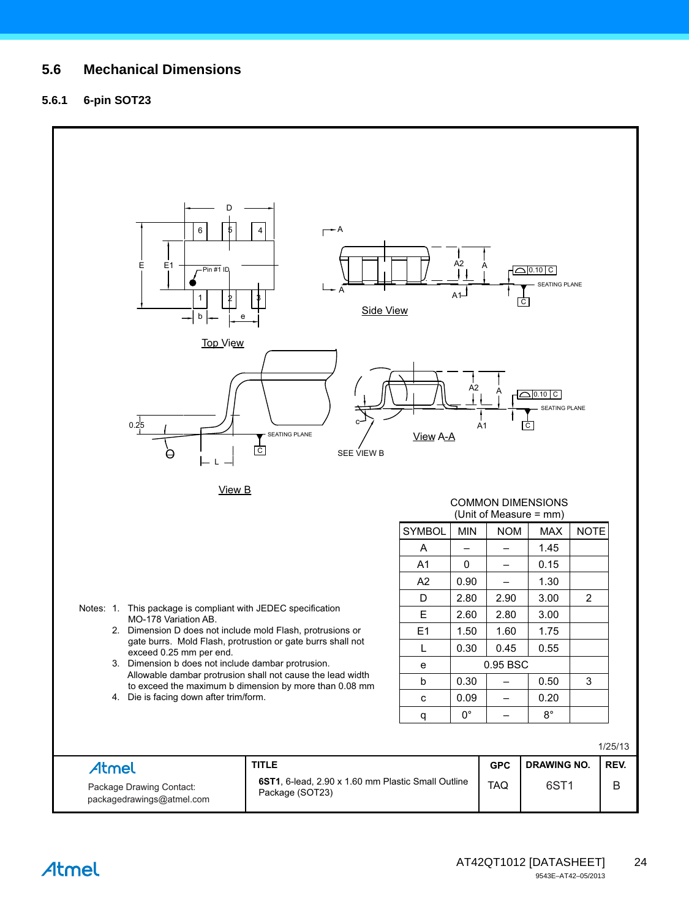### **5.6 Mechanical Dimensions**

#### **5.6.1 6-pin SOT23**

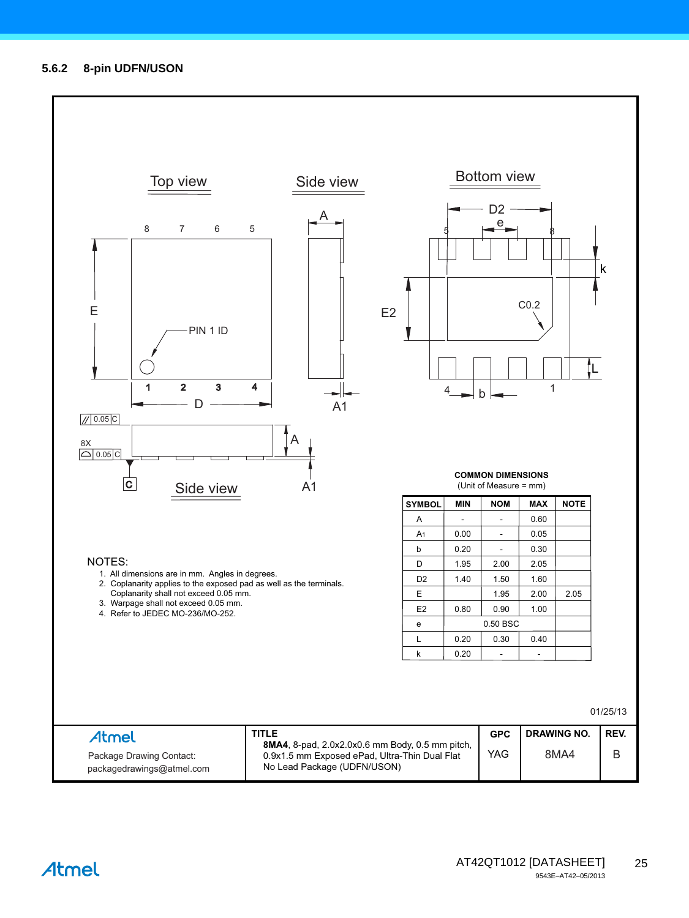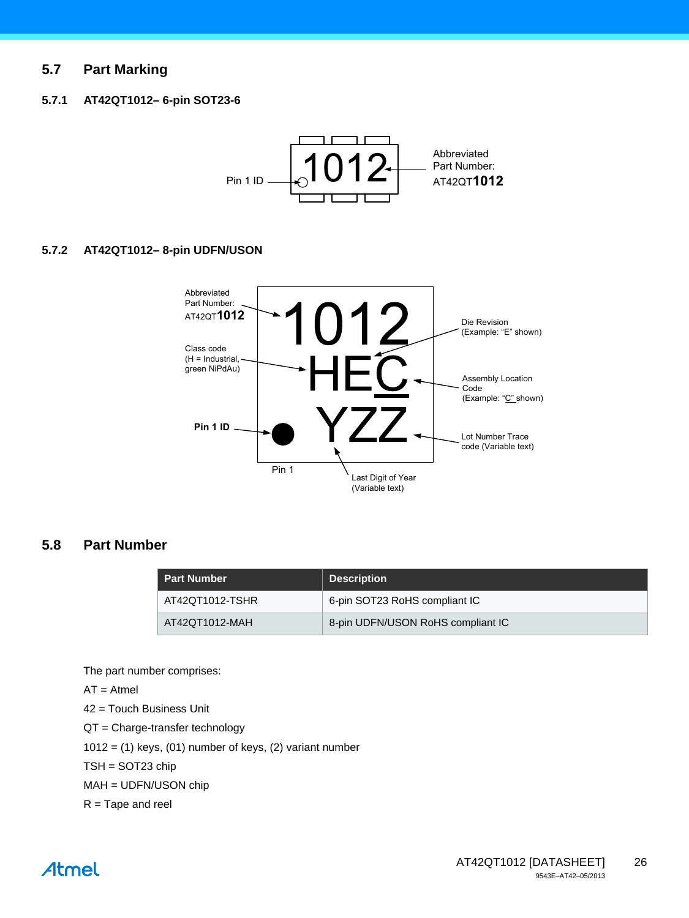### **5.7 Part Marking**

#### **5.7.1 AT42QT1012– 6-pin SOT23-6**



#### **5.7.2 AT42QT1012– 8-pin UDFN/USON**



### **5.8 Part Number**

| ∟ Part Number ˈ | <b>Description</b>                |
|-----------------|-----------------------------------|
| AT42QT1012-TSHR | 6-pin SOT23 RoHS compliant IC     |
| AT42QT1012-MAH  | 8-pin UDFN/USON RoHS compliant IC |

The part number comprises:

 $AT =$ Atmel

42 = Touch Business Unit

QT = Charge-transfer technology

 $1012 = (1)$  keys,  $(01)$  number of keys,  $(2)$  variant number

TSH = SOT23 chip

MAH = UDFN/USON chip

 $R =$ Tape and reel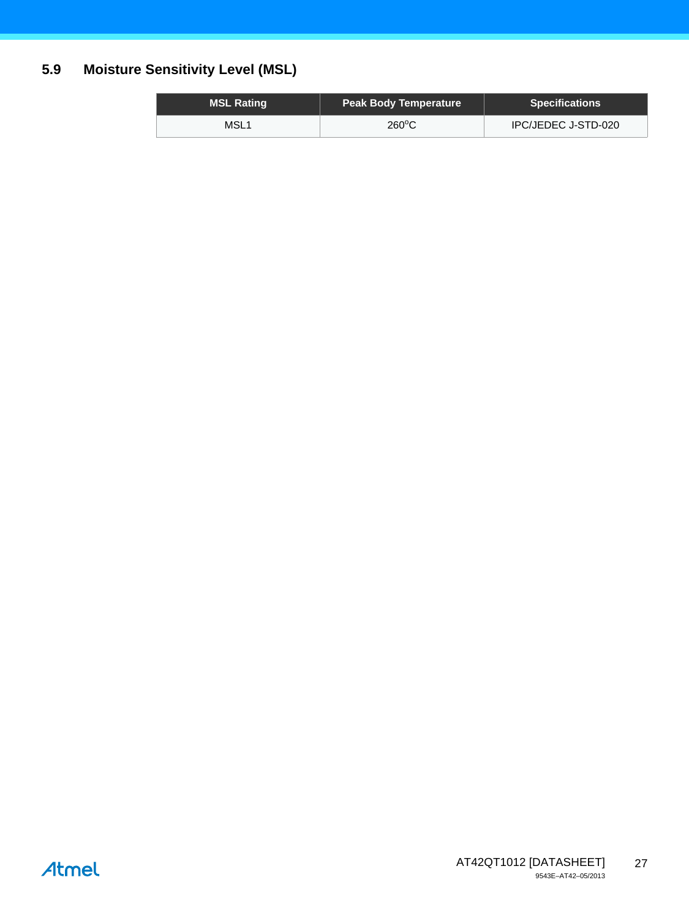# **5.9 Moisture Sensitivity Level (MSL)**

| <b>MSL Rating</b> | <b>Peak Body Temperature</b> | <b>Specifications</b> |
|-------------------|------------------------------|-----------------------|
| MSL <sub>1</sub>  | $260^{\circ}$ C              | IPC/JEDEC J-STD-020   |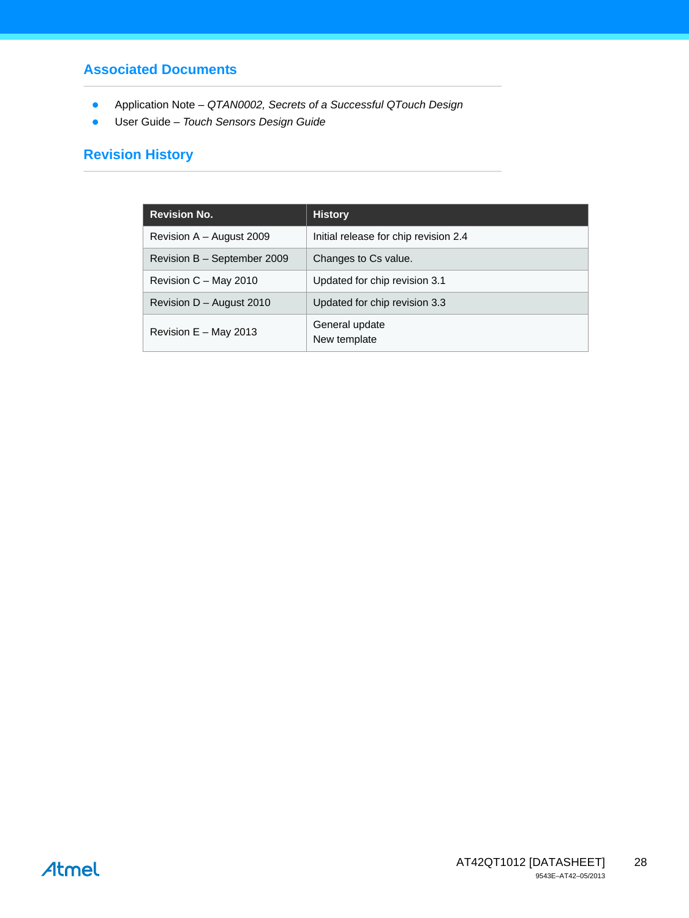# **Associated Documents**

- Application Note  *QTAN0002, Secrets of a Successful QTouch Design*
- User Guide  *Touch Sensors Design Guide*

# **Revision History**

| <b>Revision No.</b>         | <b>History</b>                        |
|-----------------------------|---------------------------------------|
| Revision $A -$ August 2009  | Initial release for chip revision 2.4 |
| Revision B - September 2009 | Changes to Cs value.                  |
| Revision C - May 2010       | Updated for chip revision 3.1         |
| Revision $D -$ August 2010  | Updated for chip revision 3.3         |
| Revision $E - May 2013$     | General update<br>New template        |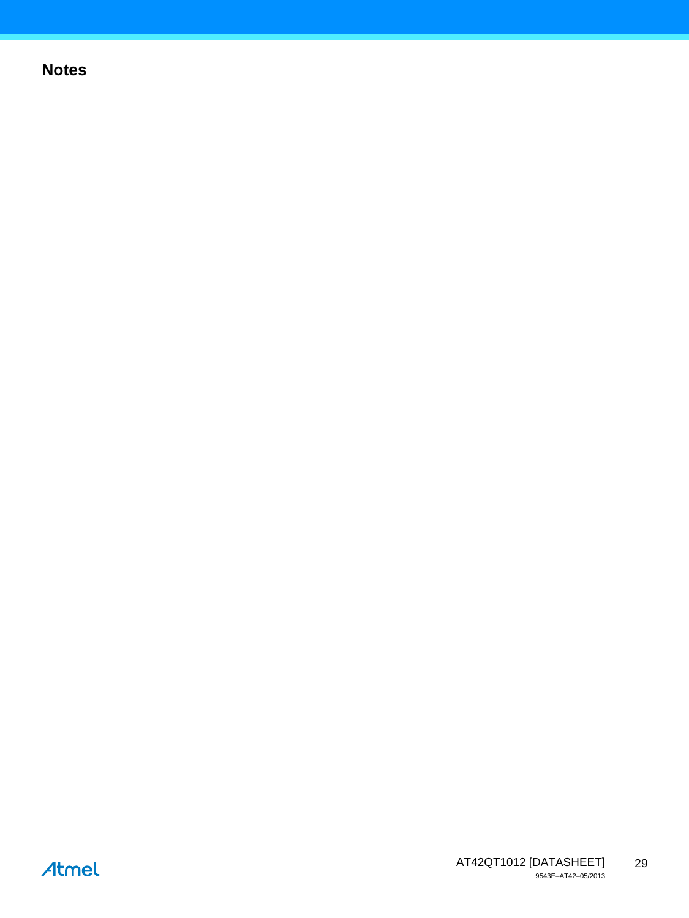# **Notes**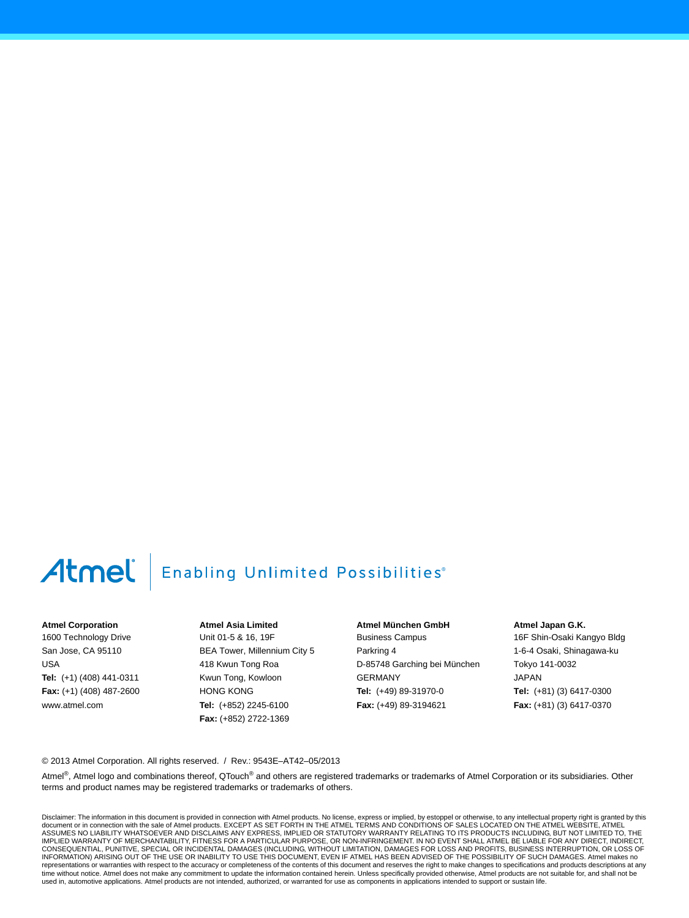# Atmel

# **Enabling Unlimited Possibilities**®

#### **Atmel Corporation**

1600 Technology Drive San Jose, CA 95110 USA **Tel:** (+1) (408) 441-0311 **Fax:** (+1) (408) 487-2600 www.atmel.com

**Atmel Asia Limited** Unit 01-5 & 16, 19F BEA Tower, Millennium City 5 418 Kwun Tong Roa Kwun Tong, Kowloon HONG KONG **Tel:** (+852) 2245-6100 **Fax:** (+852) 2722-1369

**Atmel München GmbH** Business Campus Parkring 4 D-85748 Garching bei München GERMANY **Tel:** (+49) 89-31970-0 **Fax:** (+49) 89-3194621

**Atmel Japan G.K.**

16F Shin-Osaki Kangyo Bldg 1-6-4 Osaki, Shinagawa-ku Tokyo 141-0032 JAPAN **Tel:** (+81) (3) 6417-0300 **Fax:** (+81) (3) 6417-0370

© 2013 Atmel Corporation. All rights reserved. / Rev.: 9543E–AT42–05/2013

Atmel®, Atmel logo and combinations thereof, QTouch® and others are registered trademarks or trademarks of Atmel Corporation or its subsidiaries. Other terms and product names may be registered trademarks or trademarks of others.

Disclaimer: The information in this document is provided in connection with Atmel products. No license, express or implied, by estoppel or otherwise, to any intellectual property right is granted by this document or in connection with the sale of Atmel products. EXCEPT AS SET FORTH IN THE ATMEL TERMS AND CONDITIONS OF SALES LOCATED ON THE ATMEL WEBSITE, ATMEL<br>ASSUMES NO LIABILITY WHATSOEVER AND DISCLAIMS ANY EXPRESS, IMPLI IMPLIED WARRANTY OF MERCHANTABILITY, FITNESS FOR A PARTICULAR PURPOSE, OR NON-INFRINGEMENT. IN NO EVENT SHALL ATMEL BE LIABLE FOR ANY DIRECT, INDIRECT, CONSEQUENTIAL, PUNITIVE, SPECIAL OR INCIDENTAL DAMAGES (INCLUDING, WITHOUT LIMITATION, DAMAGES FOR LOSS AND PROFITS, BUSINESS INTERRUPTION, OR LOSS OF<br>INFORMATION) ARISING OUT OF THE USE OR INABILITY TO USE THIS DOCUMENT, representations or warranties with respect to the accuracy or completeness of the contents of this document and reserves the right to make changes to specifications and products descriptions at any<br>time without notice. Atm used in, automotive applications. Atmel products are not intended, authorized, or warranted for use as components in applications intended to support or sustain life.